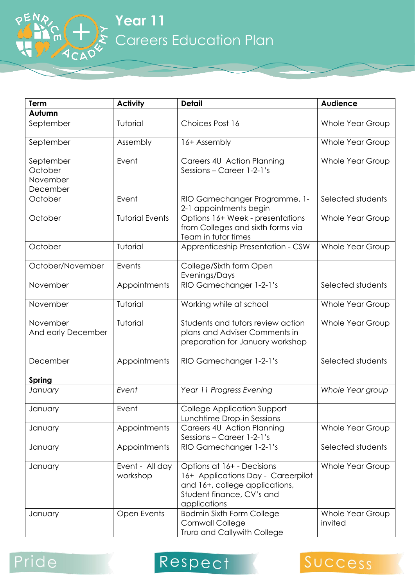**Year 11** Careers Education Plan

| Term                                         | <b>Activity</b>             | <b>Detail</b>                                                                                                                                   | <b>Audience</b>             |
|----------------------------------------------|-----------------------------|-------------------------------------------------------------------------------------------------------------------------------------------------|-----------------------------|
| Autumn                                       |                             |                                                                                                                                                 |                             |
| September                                    | Tutorial                    | Choices Post 16                                                                                                                                 | <b>Whole Year Group</b>     |
| September                                    | Assembly                    | 16+ Assembly                                                                                                                                    | <b>Whole Year Group</b>     |
| September<br>October<br>November<br>December | Event                       | Careers 4U Action Planning<br>Sessions - Career 1-2-1's                                                                                         | <b>Whole Year Group</b>     |
| October                                      | Event                       | RIO Gamechanger Programme, 1-<br>2-1 appointments begin                                                                                         | Selected students           |
| October                                      | <b>Tutorial Events</b>      | Options 16+ Week - presentations<br>from Colleges and sixth forms via<br>Team in tutor times                                                    | Whole Year Group            |
| October                                      | Tutorial                    | Apprenticeship Presentation - CSW                                                                                                               | Whole Year Group            |
| October/November                             | Events                      | College/Sixth form Open<br>Evenings/Days                                                                                                        |                             |
| November                                     | Appointments                | RIO Gamechanger 1-2-1's                                                                                                                         | Selected students           |
| November                                     | Tutorial                    | Working while at school                                                                                                                         | <b>Whole Year Group</b>     |
| November<br>And early December               | Tutorial                    | Students and tutors review action<br>plans and Adviser Comments in<br>preparation for January workshop                                          | <b>Whole Year Group</b>     |
| December                                     | Appointments                | RIO Gamechanger 1-2-1's                                                                                                                         | Selected students           |
| Spring                                       |                             |                                                                                                                                                 |                             |
| January                                      | Event                       | Year 11 Progress Evening                                                                                                                        | Whole Year group            |
| January                                      | Event                       | <b>College Application Support</b><br>Lunchtime Drop-in Sessions                                                                                |                             |
| January                                      | Appointments                | Careers 4U Action Planning<br>Sessions - Career 1-2-1's                                                                                         | Whole Year Group            |
| January                                      | Appointments                | RIO Gamechanger 1-2-1's                                                                                                                         | Selected students           |
| January                                      | Event - All day<br>workshop | Options at 16+ - Decisions<br>16+ Applications Day - Careerpilot<br>and 16+, college applications,<br>Student finance, CV's and<br>applications | Whole Year Group            |
| January                                      | Open Events                 | <b>Bodmin Sixth Form College</b><br>Cornwall College<br>Truro and Callywith College                                                             | Whole Year Group<br>invited |

## Pride